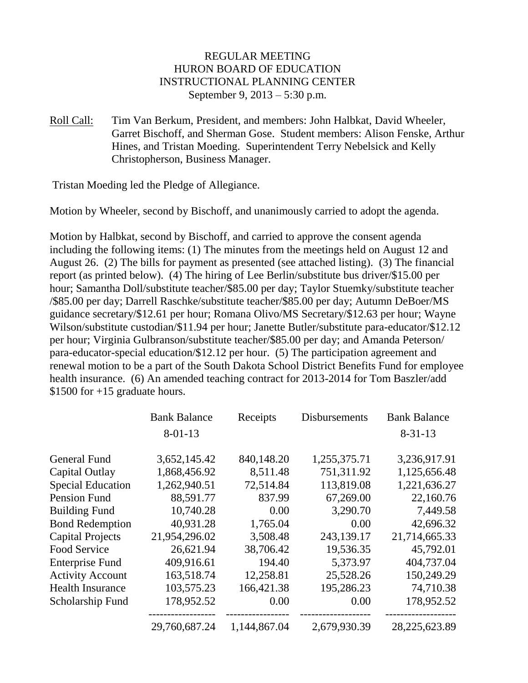### REGULAR MEETING HURON BOARD OF EDUCATION INSTRUCTIONAL PLANNING CENTER September 9, 2013 – 5:30 p.m.

Roll Call: Tim Van Berkum, President, and members: John Halbkat, David Wheeler, Garret Bischoff, and Sherman Gose. Student members: Alison Fenske, Arthur Hines, and Tristan Moeding. Superintendent Terry Nebelsick and Kelly Christopherson, Business Manager.

Tristan Moeding led the Pledge of Allegiance.

Motion by Wheeler, second by Bischoff, and unanimously carried to adopt the agenda.

Motion by Halbkat, second by Bischoff, and carried to approve the consent agenda including the following items: (1) The minutes from the meetings held on August 12 and August 26. (2) The bills for payment as presented (see attached listing). (3) The financial report (as printed below). (4) The hiring of Lee Berlin/substitute bus driver/\$15.00 per hour; Samantha Doll/substitute teacher/\$85.00 per day; Taylor Stuemky/substitute teacher /\$85.00 per day; Darrell Raschke/substitute teacher/\$85.00 per day; Autumn DeBoer/MS guidance secretary/\$12.61 per hour; Romana Olivo/MS Secretary/\$12.63 per hour; Wayne Wilson/substitute custodian/\$11.94 per hour; Janette Butler/substitute para-educator/\$12.12 per hour; Virginia Gulbranson/substitute teacher/\$85.00 per day; and Amanda Peterson/ para-educator-special education/\$12.12 per hour. (5) The participation agreement and renewal motion to be a part of the South Dakota School District Benefits Fund for employee health insurance. (6) An amended teaching contract for 2013-2014 for Tom Baszler/add \$1500 for  $+15$  graduate hours.

|                          | <b>Bank Balance</b> | Receipts     | Disbursements | <b>Bank Balance</b> |
|--------------------------|---------------------|--------------|---------------|---------------------|
|                          | $8 - 01 - 13$       |              |               | $8 - 31 - 13$       |
| <b>General Fund</b>      | 3,652,145.42        | 840,148.20   | 1,255,375.71  | 3,236,917.91        |
| Capital Outlay           | 1,868,456.92        | 8,511.48     | 751,311.92    | 1,125,656.48        |
| <b>Special Education</b> | 1,262,940.51        | 72,514.84    | 113,819.08    | 1,221,636.27        |
| <b>Pension Fund</b>      | 88,591.77           | 837.99       | 67,269.00     | 22,160.76           |
| <b>Building Fund</b>     | 10,740.28           | 0.00         | 3,290.70      | 7,449.58            |
| <b>Bond Redemption</b>   | 40,931.28           | 1,765.04     | 0.00          | 42,696.32           |
| <b>Capital Projects</b>  | 21,954,296.02       | 3,508.48     | 243,139.17    | 21,714,665.33       |
| Food Service             | 26,621.94           | 38,706.42    | 19,536.35     | 45,792.01           |
| <b>Enterprise Fund</b>   | 409,916.61          | 194.40       | 5,373.97      | 404,737.04          |
| <b>Activity Account</b>  | 163,518.74          | 12,258.81    | 25,528.26     | 150,249.29          |
| <b>Health Insurance</b>  | 103,575.23          | 166,421.38   | 195,286.23    | 74,710.38           |
| Scholarship Fund         | 178,952.52          | 0.00         | 0.00          | 178,952.52          |
|                          | 29,760,687.24       | 1,144,867.04 | 2,679,930.39  | 28,225,623.89       |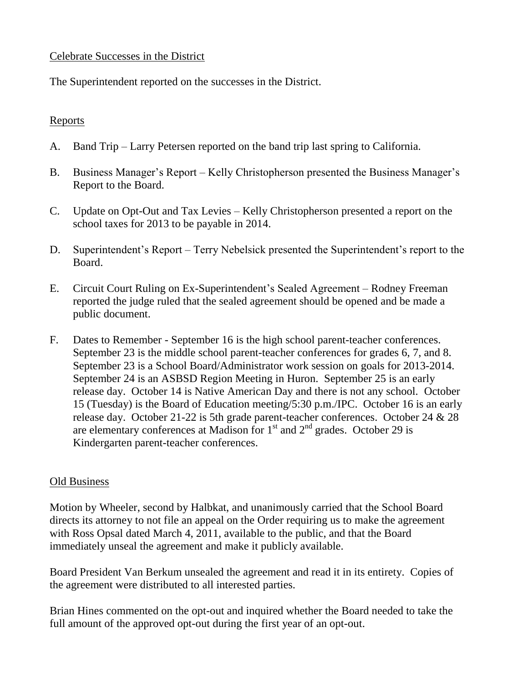### Celebrate Successes in the District

The Superintendent reported on the successes in the District.

# Reports

- A. Band Trip Larry Petersen reported on the band trip last spring to California.
- B. Business Manager's Report Kelly Christopherson presented the Business Manager's Report to the Board.
- C. Update on Opt-Out and Tax Levies Kelly Christopherson presented a report on the school taxes for 2013 to be payable in 2014.
- D. Superintendent's Report Terry Nebelsick presented the Superintendent's report to the Board.
- E. Circuit Court Ruling on Ex-Superintendent's Sealed Agreement Rodney Freeman reported the judge ruled that the sealed agreement should be opened and be made a public document.
- F. Dates to Remember September 16 is the high school parent-teacher conferences. September 23 is the middle school parent-teacher conferences for grades 6, 7, and 8. September 23 is a School Board/Administrator work session on goals for 2013-2014. September 24 is an ASBSD Region Meeting in Huron. September 25 is an early release day. October 14 is Native American Day and there is not any school. October 15 (Tuesday) is the Board of Education meeting/5:30 p.m./IPC. October 16 is an early release day. October 21-22 is 5th grade parent-teacher conferences. October 24 & 28 are elementary conferences at Madison for  $1<sup>st</sup>$  and  $2<sup>nd</sup>$  grades. October 29 is Kindergarten parent-teacher conferences.

### Old Business

Motion by Wheeler, second by Halbkat, and unanimously carried that the School Board directs its attorney to not file an appeal on the Order requiring us to make the agreement with Ross Opsal dated March 4, 2011, available to the public, and that the Board immediately unseal the agreement and make it publicly available.

Board President Van Berkum unsealed the agreement and read it in its entirety. Copies of the agreement were distributed to all interested parties.

Brian Hines commented on the opt-out and inquired whether the Board needed to take the full amount of the approved opt-out during the first year of an opt-out.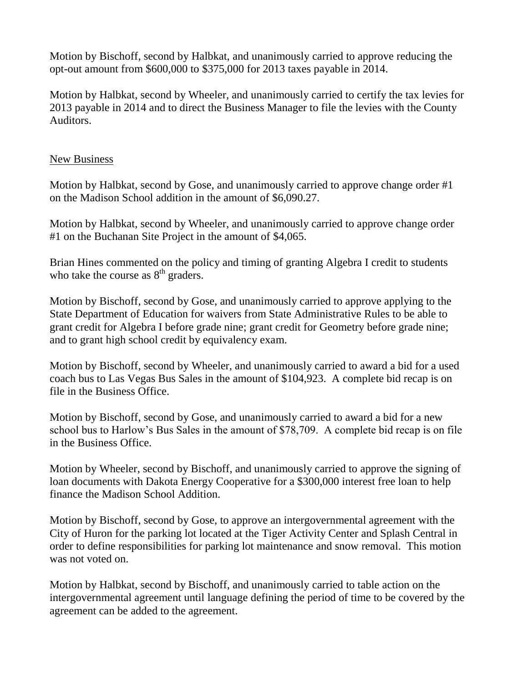Motion by Bischoff, second by Halbkat, and unanimously carried to approve reducing the opt-out amount from \$600,000 to \$375,000 for 2013 taxes payable in 2014.

Motion by Halbkat, second by Wheeler, and unanimously carried to certify the tax levies for 2013 payable in 2014 and to direct the Business Manager to file the levies with the County Auditors.

# New Business

Motion by Halbkat, second by Gose, and unanimously carried to approve change order #1 on the Madison School addition in the amount of \$6,090.27.

Motion by Halbkat, second by Wheeler, and unanimously carried to approve change order #1 on the Buchanan Site Project in the amount of \$4,065.

Brian Hines commented on the policy and timing of granting Algebra I credit to students who take the course as  $8<sup>th</sup>$  graders.

Motion by Bischoff, second by Gose, and unanimously carried to approve applying to the State Department of Education for waivers from State Administrative Rules to be able to grant credit for Algebra I before grade nine; grant credit for Geometry before grade nine; and to grant high school credit by equivalency exam.

Motion by Bischoff, second by Wheeler, and unanimously carried to award a bid for a used coach bus to Las Vegas Bus Sales in the amount of \$104,923. A complete bid recap is on file in the Business Office.

Motion by Bischoff, second by Gose, and unanimously carried to award a bid for a new school bus to Harlow's Bus Sales in the amount of \$78,709. A complete bid recap is on file in the Business Office.

Motion by Wheeler, second by Bischoff, and unanimously carried to approve the signing of loan documents with Dakota Energy Cooperative for a \$300,000 interest free loan to help finance the Madison School Addition.

Motion by Bischoff, second by Gose, to approve an intergovernmental agreement with the City of Huron for the parking lot located at the Tiger Activity Center and Splash Central in order to define responsibilities for parking lot maintenance and snow removal. This motion was not voted on.

Motion by Halbkat, second by Bischoff, and unanimously carried to table action on the intergovernmental agreement until language defining the period of time to be covered by the agreement can be added to the agreement.